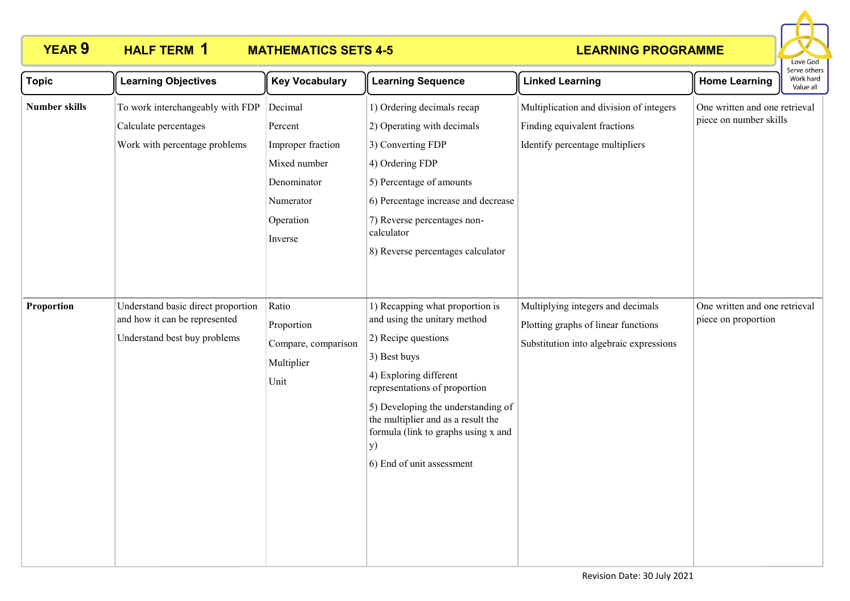# **HALF TERM 1**

# **YEAR 9 HALF TERM MATHEMATICS SETS 4-5**



| <b>Topic</b>         | <b>Learning Objectives</b>                                                                          | <b>Key Vocabulary</b>                                                                                       | <b>Learning Sequence</b>                                                                                                                                                                                                                                                                                                | <b>Linked Learning</b>                                                                                              | <b>Home Learning</b>                                    | Serve others<br>Work hard<br>Value all |
|----------------------|-----------------------------------------------------------------------------------------------------|-------------------------------------------------------------------------------------------------------------|-------------------------------------------------------------------------------------------------------------------------------------------------------------------------------------------------------------------------------------------------------------------------------------------------------------------------|---------------------------------------------------------------------------------------------------------------------|---------------------------------------------------------|----------------------------------------|
| <b>Number skills</b> | To work interchangeably with FDP<br>Calculate percentages<br>Work with percentage problems          | Decimal<br>Percent<br>Improper fraction<br>Mixed number<br>Denominator<br>Numerator<br>Operation<br>Inverse | 1) Ordering decimals recap<br>2) Operating with decimals<br>3) Converting FDP<br>4) Ordering FDP<br>5) Percentage of amounts<br>6) Percentage increase and decrease<br>7) Reverse percentages non-<br>calculator<br>8) Reverse percentages calculator                                                                   | Multiplication and division of integers<br>Finding equivalent fractions<br>Identify percentage multipliers          | One written and one retrieval<br>piece on number skills |                                        |
| Proportion           | Understand basic direct proportion<br>and how it can be represented<br>Understand best buy problems | Ratio<br>Proportion<br>Compare, comparison<br>Multiplier<br>Unit                                            | 1) Recapping what proportion is<br>and using the unitary method<br>2) Recipe questions<br>3) Best buys<br>4) Exploring different<br>representations of proportion<br>5) Developing the understanding of<br>the multiplier and as a result the<br>formula (link to graphs using x and<br>y)<br>6) End of unit assessment | Multiplying integers and decimals<br>Plotting graphs of linear functions<br>Substitution into algebraic expressions | One written and one retrieval<br>piece on proportion    |                                        |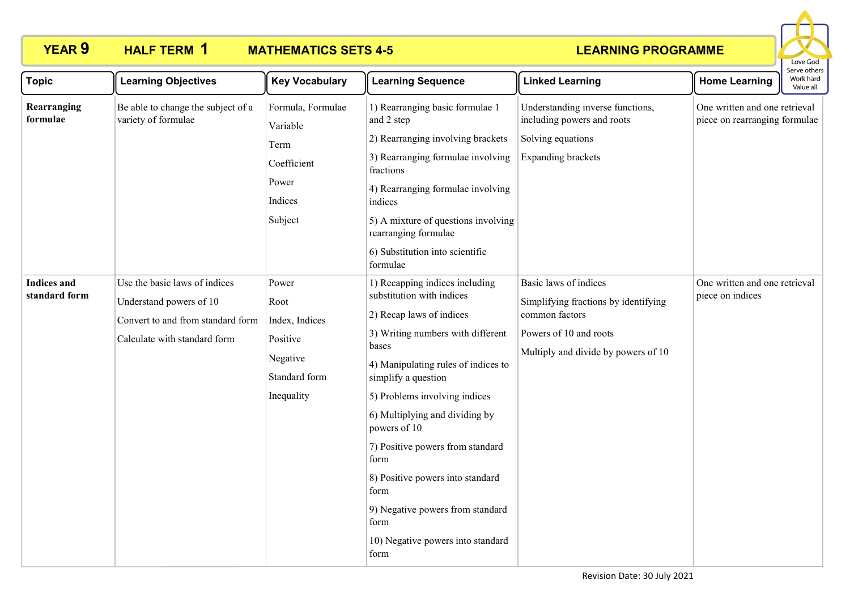

| <b>Topic</b>                        | <b>Learning Objectives</b>                                                                                                    | <b>Key Vocabulary</b>                                                                  | <b>Learning Sequence</b>                                                                                                                                                                                                                                                                                                                                                                                                                                                | <b>Linked Learning</b>                                                                                                                           | <b>Home Learning</b>                                           | בו עם טנוופו:<br>Work hard<br>Value all |
|-------------------------------------|-------------------------------------------------------------------------------------------------------------------------------|----------------------------------------------------------------------------------------|-------------------------------------------------------------------------------------------------------------------------------------------------------------------------------------------------------------------------------------------------------------------------------------------------------------------------------------------------------------------------------------------------------------------------------------------------------------------------|--------------------------------------------------------------------------------------------------------------------------------------------------|----------------------------------------------------------------|-----------------------------------------|
| Rearranging<br>formulae             | Be able to change the subject of a<br>variety of formulae                                                                     | Formula, Formulae<br>Variable<br>Term<br>Coefficient<br>Power<br>Indices<br>Subject    | 1) Rearranging basic formulae 1<br>and 2 step<br>2) Rearranging involving brackets<br>3) Rearranging formulae involving<br>fractions<br>4) Rearranging formulae involving<br>indices<br>5) A mixture of questions involving<br>rearranging formulae<br>6) Substitution into scientific<br>formulae                                                                                                                                                                      | Understanding inverse functions,<br>including powers and roots<br>Solving equations<br><b>Expanding brackets</b>                                 | One written and one retrieval<br>piece on rearranging formulae |                                         |
| <b>Indices</b> and<br>standard form | Use the basic laws of indices<br>Understand powers of 10<br>Convert to and from standard form<br>Calculate with standard form | Power<br>Root<br>Index, Indices<br>Positive<br>Negative<br>Standard form<br>Inequality | 1) Recapping indices including<br>substitution with indices<br>2) Recap laws of indices<br>3) Writing numbers with different<br>bases<br>4) Manipulating rules of indices to<br>simplify a question<br>5) Problems involving indices<br>6) Multiplying and dividing by<br>powers of 10<br>7) Positive powers from standard<br>form<br>8) Positive powers into standard<br>form<br>9) Negative powers from standard<br>form<br>10) Negative powers into standard<br>form | Basic laws of indices<br>Simplifying fractions by identifying<br>common factors<br>Powers of 10 and roots<br>Multiply and divide by powers of 10 | One written and one retrieval<br>piece on indices              |                                         |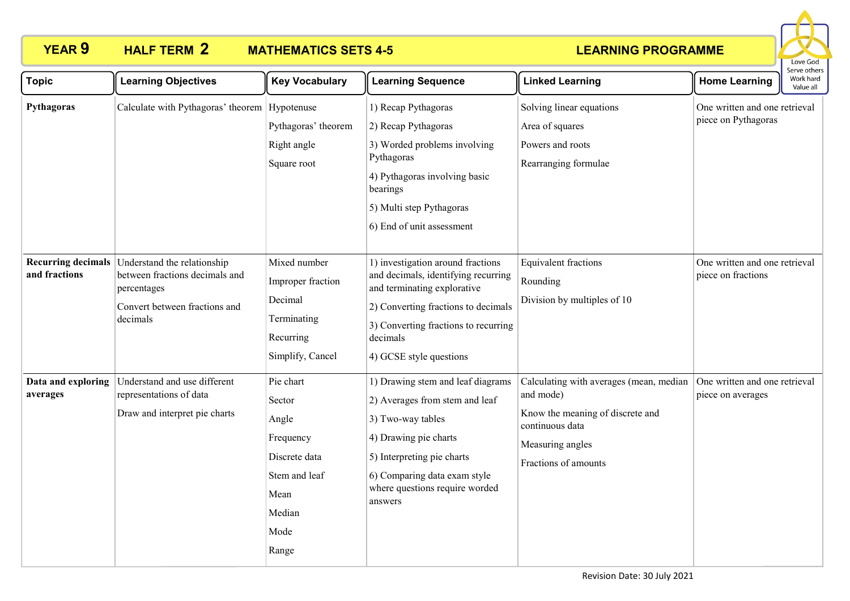

| <b>Topic</b>                   | <b>Learning Objectives</b>                                                                                                                          | <b>Key Vocabulary</b>                                                                                          | <b>Learning Sequence</b>                                                                                                                                                                                                      | <b>Linked Learning</b>                                                                                                                                  | <b>Home Learning</b>                                 | erve others<br>Work hard<br>Value all |
|--------------------------------|-----------------------------------------------------------------------------------------------------------------------------------------------------|----------------------------------------------------------------------------------------------------------------|-------------------------------------------------------------------------------------------------------------------------------------------------------------------------------------------------------------------------------|---------------------------------------------------------------------------------------------------------------------------------------------------------|------------------------------------------------------|---------------------------------------|
| Pythagoras                     | Calculate with Pythagoras' theorem Hypotenuse                                                                                                       | Pythagoras' theorem<br>Right angle<br>Square root                                                              | 1) Recap Pythagoras<br>2) Recap Pythagoras<br>3) Worded problems involving<br>Pythagoras<br>4) Pythagoras involving basic<br>bearings<br>5) Multi step Pythagoras<br>6) End of unit assessment                                | Solving linear equations<br>Area of squares<br>Powers and roots<br>Rearranging formulae                                                                 | One written and one retrieval<br>piece on Pythagoras |                                       |
| and fractions                  | <b>Recurring decimals</b> Understand the relationship<br>between fractions decimals and<br>percentages<br>Convert between fractions and<br>decimals | Mixed number<br>Improper fraction<br>Decimal<br>Terminating<br>Recurring<br>Simplify, Cancel                   | 1) investigation around fractions<br>and decimals, identifying recurring<br>and terminating explorative<br>2) Converting fractions to decimals<br>3) Converting fractions to recurring<br>decimals<br>4) GCSE style questions | <b>Equivalent fractions</b><br>Rounding<br>Division by multiples of 10                                                                                  | One written and one retrieval<br>piece on fractions  |                                       |
| Data and exploring<br>averages | Understand and use different<br>representations of data<br>Draw and interpret pie charts                                                            | Pie chart<br>Sector<br>Angle<br>Frequency<br>Discrete data<br>Stem and leaf<br>Mean<br>Median<br>Mode<br>Range | 1) Drawing stem and leaf diagrams<br>2) Averages from stem and leaf<br>3) Two-way tables<br>4) Drawing pie charts<br>5) Interpreting pie charts<br>6) Comparing data exam style<br>where questions require worded<br>answers  | Calculating with averages (mean, median<br>and mode)<br>Know the meaning of discrete and<br>continuous data<br>Measuring angles<br>Fractions of amounts | One written and one retrieval<br>piece on averages   |                                       |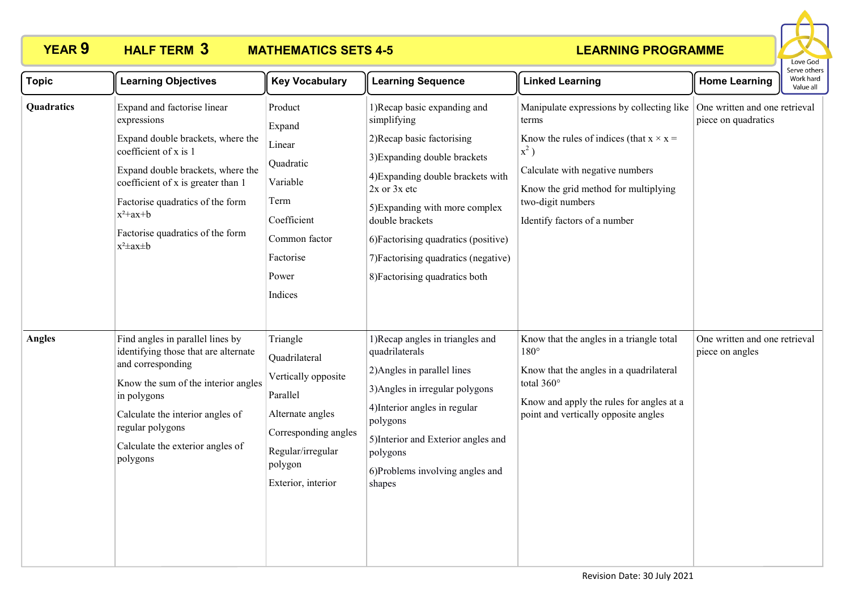# **HALF TERM 3**

# **YEAR 9 HALF TERM MATHEMATICS SETS 4-5**



| <b>Topic</b>  | <b>Learning Objectives</b>                                                                                                                                                                                                                                                                      | <b>Key Vocabulary</b>                                                                                                                                          | <b>Learning Sequence</b>                                                                                                                                                                                                                                                                                                                  | <b>Linked Learning</b>                                                                                                                                                                                                                          | <b>Home Learning</b>                                 | Serve others<br>Work hard<br>Value all |
|---------------|-------------------------------------------------------------------------------------------------------------------------------------------------------------------------------------------------------------------------------------------------------------------------------------------------|----------------------------------------------------------------------------------------------------------------------------------------------------------------|-------------------------------------------------------------------------------------------------------------------------------------------------------------------------------------------------------------------------------------------------------------------------------------------------------------------------------------------|-------------------------------------------------------------------------------------------------------------------------------------------------------------------------------------------------------------------------------------------------|------------------------------------------------------|----------------------------------------|
| Quadratics    | Expand and factorise linear<br>expressions<br>Expand double brackets, where the<br>coefficient of x is 1<br>Expand double brackets, where the<br>coefficient of x is greater than 1<br>Factorise quadratics of the form<br>$x^2+ax+b$<br>Factorise quadratics of the form<br>$x^2 \pm ax \pm b$ | Product<br>Expand<br>Linear<br>Quadratic<br>Variable<br>Term<br>Coefficient<br>Common factor<br>Factorise<br>Power<br>Indices                                  | 1) Recap basic expanding and<br>simplifying<br>2) Recap basic factorising<br>3) Expanding double brackets<br>4) Expanding double brackets with<br>$2x$ or $3x$ etc<br>5) Expanding with more complex<br>double brackets<br>6) Factorising quadratics (positive)<br>7) Factorising quadratics (negative)<br>8) Factorising quadratics both | Manipulate expressions by collecting like<br>terms<br>Know the rules of indices (that $x \times x =$<br>$x^2$ )<br>Calculate with negative numbers<br>Know the grid method for multiplying<br>two-digit numbers<br>Identify factors of a number | One written and one retrieval<br>piece on quadratics |                                        |
| <b>Angles</b> | Find angles in parallel lines by<br>identifying those that are alternate<br>and corresponding<br>Know the sum of the interior angles<br>in polygons<br>Calculate the interior angles of<br>regular polygons<br>Calculate the exterior angles of<br>polygons                                     | Triangle<br>Quadrilateral<br>Vertically opposite<br>Parallel<br>Alternate angles<br>Corresponding angles<br>Regular/irregular<br>polygon<br>Exterior, interior | 1) Recap angles in triangles and<br>quadrilaterals<br>2) Angles in parallel lines<br>3) Angles in irregular polygons<br>4) Interior angles in regular<br>polygons<br>5) Interior and Exterior angles and<br>polygons<br>6)Problems involving angles and<br>shapes                                                                         | Know that the angles in a triangle total<br>$180^\circ$<br>Know that the angles in a quadrilateral<br>total 360°<br>Know and apply the rules for angles at a<br>point and vertically opposite angles                                            | One written and one retrieval<br>piece on angles     |                                        |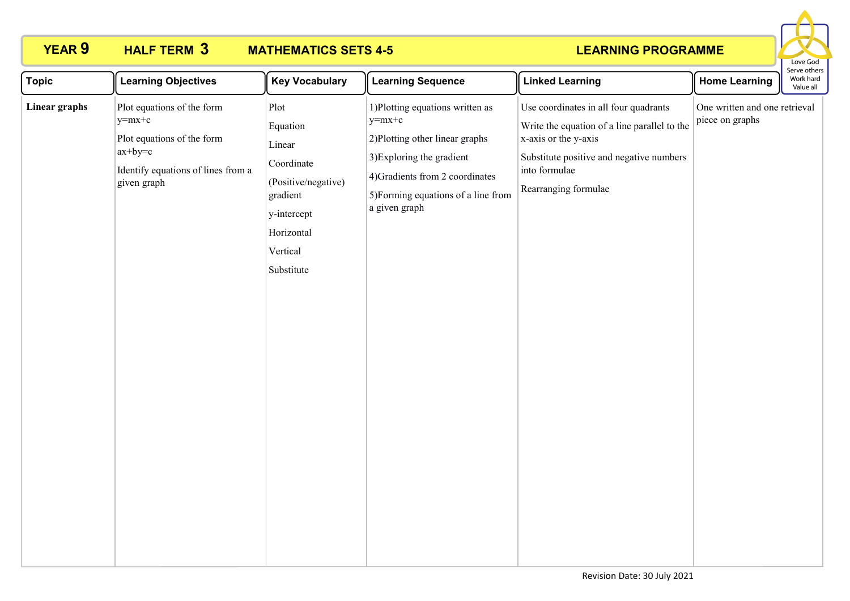

| <b>Topic</b>  | <b>Learning Objectives</b>                                                                                                              | <b>Key Vocabulary</b>                                                                                                              | <b>Learning Sequence</b>                                                                                                                                                                                | <b>Linked Learning</b>                                                                                                                                                                             | <b>Home Learning</b>                             | serve otrie<br>Work hard<br>Value all |
|---------------|-----------------------------------------------------------------------------------------------------------------------------------------|------------------------------------------------------------------------------------------------------------------------------------|---------------------------------------------------------------------------------------------------------------------------------------------------------------------------------------------------------|----------------------------------------------------------------------------------------------------------------------------------------------------------------------------------------------------|--------------------------------------------------|---------------------------------------|
| Linear graphs | Plot equations of the form<br>$ y=mx+c$<br>Plot equations of the form<br>$ax+by=c$<br>Identify equations of lines from a<br>given graph | Plot<br>Equation<br>Linear<br>Coordinate<br>(Positive/negative)<br>gradient<br>y-intercept<br>Horizontal<br>Vertical<br>Substitute | 1) Plotting equations written as<br>$y=mx+c$<br>2) Plotting other linear graphs<br>3) Exploring the gradient<br>4) Gradients from 2 coordinates<br>5) Forming equations of a line from<br>a given graph | Use coordinates in all four quadrants<br>Write the equation of a line parallel to the<br>x-axis or the y-axis<br>Substitute positive and negative numbers<br>into formulae<br>Rearranging formulae | One written and one retrieval<br>piece on graphs |                                       |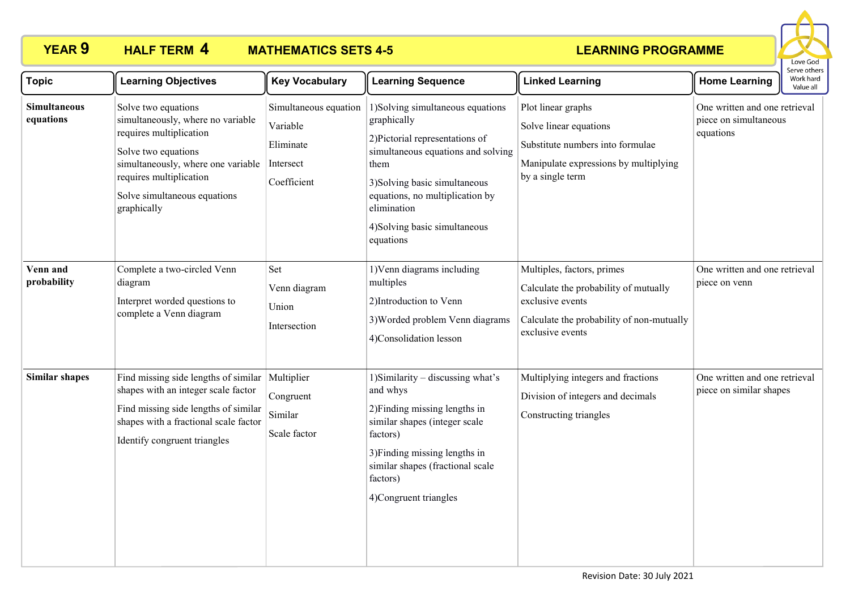

| <b>Topic</b>                     | <b>Learning Objectives</b>                                                                                                                                                                                                 | <b>Key Vocabulary</b>                                                      | <b>Learning Sequence</b>                                                                                                                                                                                                                                           | <b>Linked Learning</b>                                                                                                                                   | <b>Home Learning</b>                                                | Serve others<br>Work hard<br>Value all |
|----------------------------------|----------------------------------------------------------------------------------------------------------------------------------------------------------------------------------------------------------------------------|----------------------------------------------------------------------------|--------------------------------------------------------------------------------------------------------------------------------------------------------------------------------------------------------------------------------------------------------------------|----------------------------------------------------------------------------------------------------------------------------------------------------------|---------------------------------------------------------------------|----------------------------------------|
| <b>Simultaneous</b><br>equations | Solve two equations<br>simultaneously, where no variable<br>requires multiplication<br>Solve two equations<br>simultaneously, where one variable<br>requires multiplication<br>Solve simultaneous equations<br>graphically | Simultaneous equation<br>Variable<br>Eliminate<br>Intersect<br>Coefficient | 1) Solving simultaneous equations<br>graphically<br>2) Pictorial representations of<br>simultaneous equations and solving<br>them<br>3) Solving basic simultaneous<br>equations, no multiplication by<br>elimination<br>4) Solving basic simultaneous<br>equations | Plot linear graphs<br>Solve linear equations<br>Substitute numbers into formulae<br>Manipulate expressions by multiplying<br>by a single term            | One written and one retrieval<br>piece on simultaneous<br>equations |                                        |
| Venn and<br>probability          | Complete a two-circled Venn<br>diagram<br>Interpret worded questions to<br>complete a Venn diagram                                                                                                                         | Set<br>Venn diagram<br>Union<br>Intersection                               | 1) Venn diagrams including<br>multiples<br>2) Introduction to Venn<br>3) Worded problem Venn diagrams<br>4)Consolidation lesson                                                                                                                                    | Multiples, factors, primes<br>Calculate the probability of mutually<br>exclusive events<br>Calculate the probability of non-mutually<br>exclusive events | One written and one retrieval<br>piece on venn                      |                                        |
| <b>Similar shapes</b>            | Find missing side lengths of similar<br>shapes with an integer scale factor<br>Find missing side lengths of similar<br>shapes with a fractional scale factor<br>Identify congruent triangles                               | Multiplier<br>Congruent<br>$\operatorname{Similar}$<br>Scale factor        | 1) Similarity – discussing what's<br>and whys<br>2) Finding missing lengths in<br>similar shapes (integer scale<br>factors)<br>3) Finding missing lengths in<br>similar shapes (fractional scale<br>factors)<br>4)Congruent triangles                              | Multiplying integers and fractions<br>Division of integers and decimals<br>Constructing triangles                                                        | One written and one retrieval<br>piece on similar shapes            |                                        |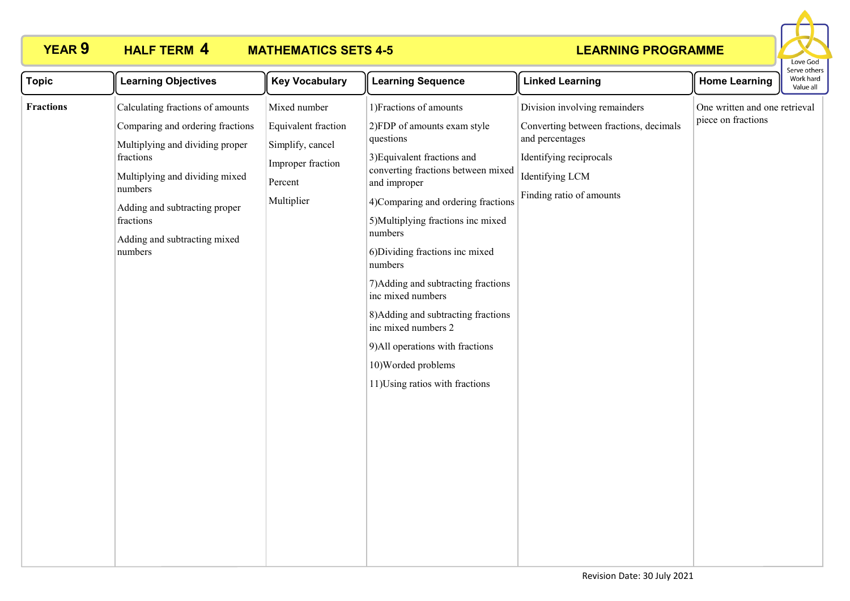

| <b>Topic</b> | <b>Learning Objectives</b>                                                                                                                                                         | <b>Key Vocabulary</b>                                          | <b>Learning Sequence</b>                                                                                                                                                                                                                                                                                                                                                                                                                                    | <b>Linked Learning</b>                                                                    | <b>Home Learning</b>          | Serve other<br>Work hard<br>Value all |
|--------------|------------------------------------------------------------------------------------------------------------------------------------------------------------------------------------|----------------------------------------------------------------|-------------------------------------------------------------------------------------------------------------------------------------------------------------------------------------------------------------------------------------------------------------------------------------------------------------------------------------------------------------------------------------------------------------------------------------------------------------|-------------------------------------------------------------------------------------------|-------------------------------|---------------------------------------|
| Fractions    | Calculating fractions of amounts                                                                                                                                                   | Mixed number                                                   | 1) Fractions of amounts                                                                                                                                                                                                                                                                                                                                                                                                                                     | Division involving remainders                                                             | One written and one retrieval |                                       |
|              | Comparing and ordering fractions                                                                                                                                                   | Equivalent fraction                                            | 2)FDP of amounts exam style                                                                                                                                                                                                                                                                                                                                                                                                                                 | Converting between fractions, decimals                                                    |                               |                                       |
|              | Multiplying and dividing proper<br>fractions<br>Multiplying and dividing mixed<br>numbers<br>Adding and subtracting proper<br>fractions<br>Adding and subtracting mixed<br>numbers | Simplify, cancel<br>Improper fraction<br>Percent<br>Multiplier | questions<br>3) Equivalent fractions and<br>converting fractions between mixed<br>and improper<br>4)Comparing and ordering fractions<br>5) Multiplying fractions inc mixed<br>numbers<br>6) Dividing fractions inc mixed<br>numbers<br>7) Adding and subtracting fractions<br>inc mixed numbers<br>8) Adding and subtracting fractions<br>inc mixed numbers 2<br>9) All operations with fractions<br>10) Worded problems<br>11) Using ratios with fractions | and percentages<br>Identifying reciprocals<br>Identifying LCM<br>Finding ratio of amounts | piece on fractions            |                                       |
|              |                                                                                                                                                                                    |                                                                |                                                                                                                                                                                                                                                                                                                                                                                                                                                             |                                                                                           |                               |                                       |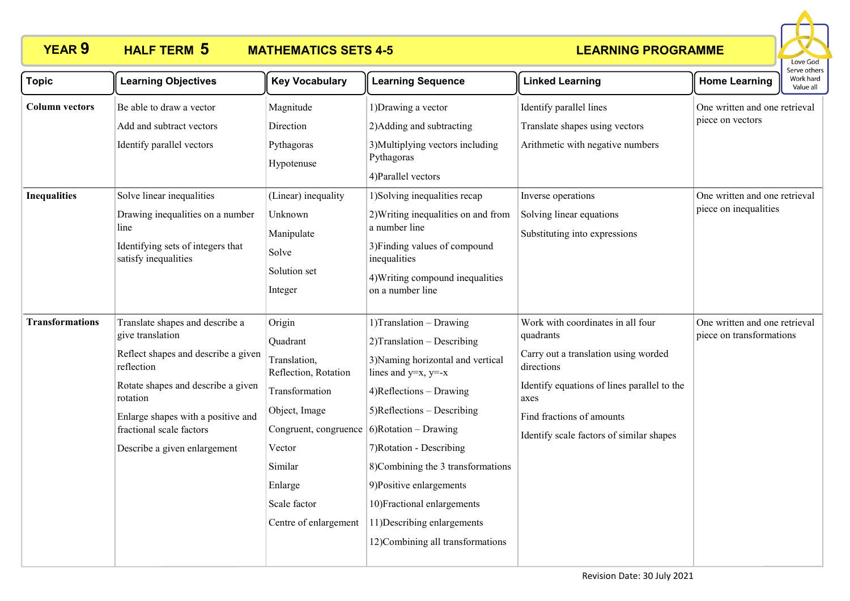

| <b>Topic</b>                                 | <b>Learning Objectives</b>                                                                                                                                                                                                                                   | <b>Key Vocabulary</b>                                                                                                                                                                                                        | <b>Learning Sequence</b>                                                                                                                                                                                                                                                                                                                                                       | <b>Linked Learning</b>                                                                                                                                                                                                               | <b>Home Learning</b>                                                                                        | serve others<br>Work hard<br>Value all |
|----------------------------------------------|--------------------------------------------------------------------------------------------------------------------------------------------------------------------------------------------------------------------------------------------------------------|------------------------------------------------------------------------------------------------------------------------------------------------------------------------------------------------------------------------------|--------------------------------------------------------------------------------------------------------------------------------------------------------------------------------------------------------------------------------------------------------------------------------------------------------------------------------------------------------------------------------|--------------------------------------------------------------------------------------------------------------------------------------------------------------------------------------------------------------------------------------|-------------------------------------------------------------------------------------------------------------|----------------------------------------|
| <b>Column vectors</b><br><b>Inequalities</b> | Be able to draw a vector<br>Add and subtract vectors<br>Identify parallel vectors<br>Solve linear inequalities<br>Drawing inequalities on a number<br>line<br>Identifying sets of integers that<br>satisfy inequalities                                      | Magnitude<br>Direction<br>Pythagoras<br>Hypotenuse<br>(Linear) inequality<br>Unknown<br>Manipulate<br>Solve<br>Solution set<br>Integer                                                                                       | 1) Drawing a vector<br>2) Adding and subtracting<br>3) Multiplying vectors including<br>Pythagoras<br>4) Parallel vectors<br>1) Solving inequalities recap<br>2) Writing inequalities on and from<br>a number line<br>3) Finding values of compound<br>inequalities<br>4) Writing compound inequalities<br>on a number line                                                    | Identify parallel lines<br>Translate shapes using vectors<br>Arithmetic with negative numbers<br>Inverse operations<br>Solving linear equations<br>Substituting into expressions                                                     | One written and one retrieval<br>piece on vectors<br>One written and one retrieval<br>piece on inequalities |                                        |
| <b>Transformations</b>                       | Translate shapes and describe a<br>give translation<br>Reflect shapes and describe a given<br>reflection<br>Rotate shapes and describe a given<br>rotation<br>Enlarge shapes with a positive and<br>fractional scale factors<br>Describe a given enlargement | Origin<br>Quadrant<br>Translation,<br>Reflection, Rotation<br>Transformation<br>Object, Image<br>Congruent, congruence $\vert$ 6)Rotation – Drawing<br>Vector<br>Similar<br>Enlarge<br>Scale factor<br>Centre of enlargement | 1) Translation - Drawing<br>2) Translation - Describing<br>3) Naming horizontal and vertical<br>lines and y=x, y=-x<br>4)Reflections - Drawing<br>$5)$ Reflections – Describing<br>7) Rotation - Describing<br>8)Combining the 3 transformations<br>9)Positive enlargements<br>10) Fractional enlargements<br>11) Describing enlargements<br>12) Combining all transformations | Work with coordinates in all four<br>quadrants<br>Carry out a translation using worded<br>directions<br>Identify equations of lines parallel to the<br>axes<br>Find fractions of amounts<br>Identify scale factors of similar shapes | One written and one retrieval<br>piece on transformations                                                   |                                        |